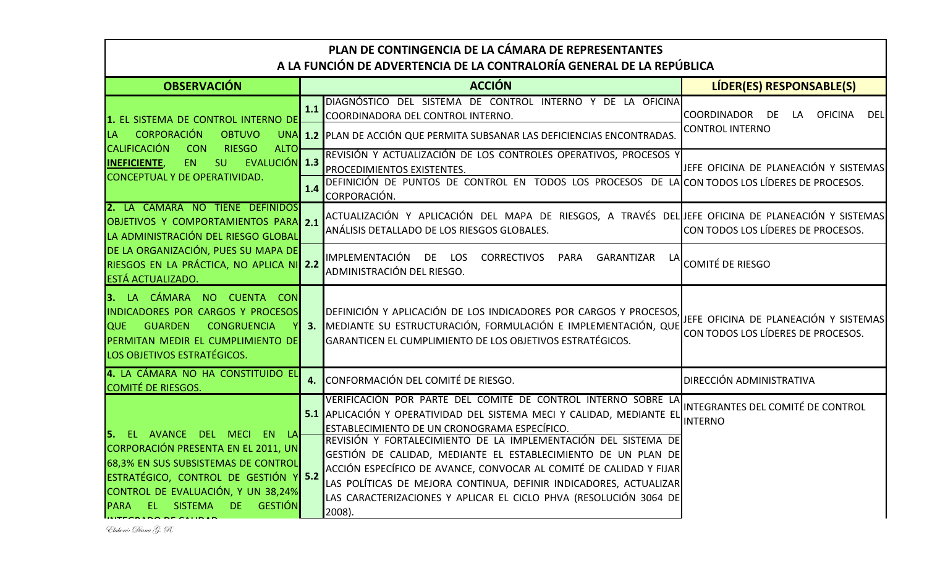| PLAN DE CONTINGENCIA DE LA CÁMARA DE REPRESENTANTES<br>A LA FUNCIÓN DE ADVERTENCIA DE LA CONTRALORÍA GENERAL DE LA REPÚBLICA                                                                                                                                               |                                                                                                                                                                                                                                                                                                                                                           |                                                                             |  |  |  |  |  |
|----------------------------------------------------------------------------------------------------------------------------------------------------------------------------------------------------------------------------------------------------------------------------|-----------------------------------------------------------------------------------------------------------------------------------------------------------------------------------------------------------------------------------------------------------------------------------------------------------------------------------------------------------|-----------------------------------------------------------------------------|--|--|--|--|--|
| <b>OBSERVACIÓN</b>                                                                                                                                                                                                                                                         | <b>ACCIÓN</b>                                                                                                                                                                                                                                                                                                                                             | LÍDER(ES) RESPONSABLE(S)                                                    |  |  |  |  |  |
| 1. EL SISTEMA DE CONTROL INTERNO DE<br><b>CORPORACIÓN</b><br><b>OBTUVO</b><br>LA<br><b>CALIFICACIÓN</b><br><b>CON</b><br><b>RIESGO</b><br><b>ALTO</b><br><b>EVALUCIÓN</b> 1.3<br><b>INEFICIENTE</b><br><b>SU</b><br>EN.<br>CONCEPTUAL Y DE OPERATIVIDAD.                   | DIAGNÓSTICO DEL SISTEMA DE CONTROL INTERNO Y DE LA OFICINA<br>1.1<br>COORDINADORA DEL CONTROL INTERNO.                                                                                                                                                                                                                                                    | <b>OFICINA</b><br><b>DELI</b><br><b>COORDINADOR</b><br>DE<br>LA             |  |  |  |  |  |
|                                                                                                                                                                                                                                                                            | UNA 1.2 PLAN DE ACCIÓN QUE PERMITA SUBSANAR LAS DEFICIENCIAS ENCONTRADAS                                                                                                                                                                                                                                                                                  | <b>CONTROL INTERNO</b>                                                      |  |  |  |  |  |
|                                                                                                                                                                                                                                                                            | REVISIÓN Y ACTUALIZACIÓN DE LOS CONTROLES OPERATIVOS, PROCESOS Y<br>PROCEDIMIENTOS EXISTENTES.                                                                                                                                                                                                                                                            | JEFE OFICINA DE PLANEACIÓN Y SISTEMAS                                       |  |  |  |  |  |
|                                                                                                                                                                                                                                                                            | DEFINICIÓN DE PUNTOS DE CONTROL EN TODOS LOS PROCESOS DE LA CONTODOS LOS LÍDERES DE PROCESOS.<br>1.4<br>CORPORACIÓN.                                                                                                                                                                                                                                      |                                                                             |  |  |  |  |  |
| 2. LA CÀMARA NO TIENE DEFINIDOS<br>OBJETIVOS Y COMPORTAMIENTOS PARA 2.1<br>LA ADMINISTRACIÓN DEL RIESGO GLOBAL                                                                                                                                                             | ACTUALIZACIÓN Y APLICACIÓN DEL MAPA DE RIESGOS, A TRAVÉS DEL JEFE OFICINA DE PLANEACIÓN Y SISTEMAS<br>ANÁLISIS DETALLADO DE LOS RIESGOS GLOBALES.                                                                                                                                                                                                         | CON TODOS LOS LÍDERES DE PROCESOS.                                          |  |  |  |  |  |
| DE LA ORGANIZACIÓN, PUES SU MAPA DE<br>RIESGOS EN LA PRÁCTICA, NO APLICA NI 2.2<br><b>ESTÁ ACTUALIZADO.</b>                                                                                                                                                                | <b>IMPLEMENTACIÓN</b><br><b>LOS</b><br><b>CORRECTIVOS</b><br>DE<br>PARA<br>GARANTIZAR<br>LA<br>ADMINISTRACIÓN DEL RIESGO.                                                                                                                                                                                                                                 | <b>COMITÉ DE RIESGO</b>                                                     |  |  |  |  |  |
| 3. LA CÁMARA NO CUENTA CON<br>INDICADORES POR CARGOS Y PROCESOS<br><b>GUARDEN</b><br><b>CONGRUENCIA</b><br><b>QUE</b><br>PERMITAN MEDIR EL CUMPLIMIENTO DE<br>LOS OBJETIVOS ESTRATÉGICOS.                                                                                  | DEFINICIÓN Y APLICACIÓN DE LOS INDICADORES POR CARGOS Y PROCESOS,<br>3. MEDIANTE SU ESTRUCTURACIÓN, FORMULACIÓN E IMPLEMENTACIÓN, QUE<br>GARANTICEN EL CUMPLIMIENTO DE LOS OBJETIVOS ESTRATÉGICOS.                                                                                                                                                        | JEFE OFICINA DE PLANEACIÓN Y SISTEMAS<br>CON TODOS LOS LÍDERES DE PROCESOS. |  |  |  |  |  |
| 4. LA CÁMARA NO HA CONSTITUIDO EL<br><b>COMITÉ DE RIESGOS.</b>                                                                                                                                                                                                             | 4. CONFORMACIÓN DEL COMITÉ DE RIESGO.                                                                                                                                                                                                                                                                                                                     | DIRECCIÓN ADMINISTRATIVA                                                    |  |  |  |  |  |
| 5. FL AVANCE<br>EN LA<br>DEL.<br><b>MFCI</b><br>CORPORACIÓN PRESENTA EN EL 2011, UN<br>68,3% EN SUS SUBSISTEMAS DE CONTROL<br>ESTRATÉGICO, CONTROL DE GESTIÓN Y 5.2<br>CONTROL DE EVALUACIÓN, Y UN 38,24%<br><b>GESTIÓN</b><br><b>SISTEMA</b><br><b>PARA</b><br>EL.<br>DE. | VERIFICACIÓN POR PARTE DEL COMITÉ DE CONTROL INTERNO SOBRE LA<br>5.1 APLICACIÓN Y OPERATIVIDAD DEL SISTEMA MECI Y CALIDAD, MEDIANTE EL<br>ESTABLECIMIENTO DE UN CRONOGRAMA ESPECÍFICO.                                                                                                                                                                    | INTEGRANTES DEL COMITÉ DE CONTROL<br><b>INTERNO</b>                         |  |  |  |  |  |
|                                                                                                                                                                                                                                                                            | REVISIÓN Y FORTALECIMIENTO DE LA IMPLEMENTACIÓN DEL SISTEMA DE<br>GESTIÓN DE CALIDAD, MEDIANTE EL ESTABLECIMIENTO DE UN PLAN DE<br>ACCIÓN ESPECÍFICO DE AVANCE, CONVOCAR AL COMITÉ DE CALIDAD Y FIJAR<br>LAS POLÍTICAS DE MEJORA CONTINUA, DEFINIR INDICADORES, ACTUALIZAR<br>LAS CARACTERIZACIONES Y APLICAR EL CICLO PHVA (RESOLUCIÓN 3064 DE<br>2008). |                                                                             |  |  |  |  |  |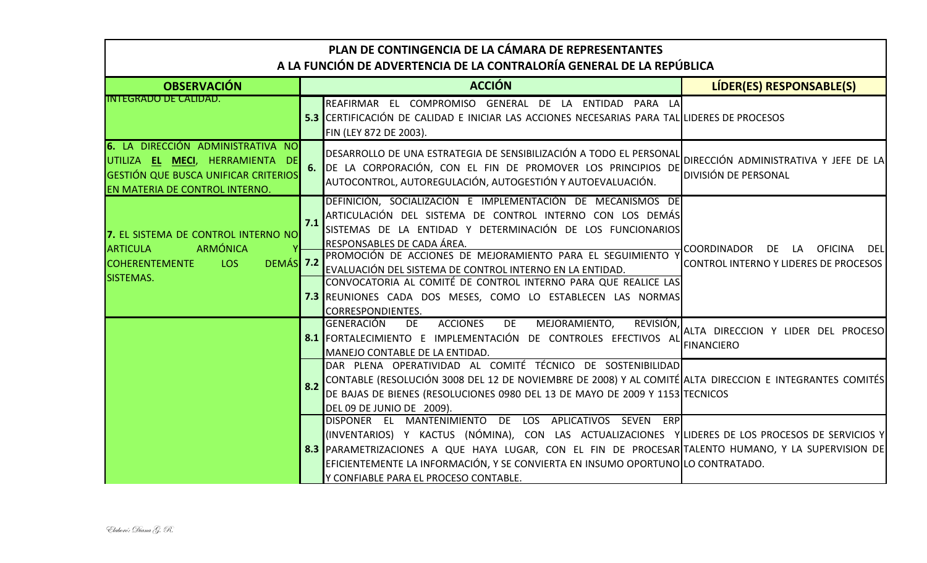| PLAN DE CONTINGENCIA DE LA CÁMARA DE REPRESENTANTES<br>A LA FUNCIÓN DE ADVERTENCIA DE LA CONTRALORÍA GENERAL DE LA REPÚBLICA                          |     |                                                                                                                                                                                                                                                                                                                                                                                               |                                                                      |  |  |  |
|-------------------------------------------------------------------------------------------------------------------------------------------------------|-----|-----------------------------------------------------------------------------------------------------------------------------------------------------------------------------------------------------------------------------------------------------------------------------------------------------------------------------------------------------------------------------------------------|----------------------------------------------------------------------|--|--|--|
| <b>OBSERVACIÓN</b>                                                                                                                                    |     | <b>ACCIÓN</b>                                                                                                                                                                                                                                                                                                                                                                                 | LÍDER(ES) RESPONSABLE(S)                                             |  |  |  |
| <b>INTEGRADO DE CALIDAD.</b>                                                                                                                          |     | REAFIRMAR EL COMPROMISO GENERAL DE LA ENTIDAD PARA LA<br>5.3 CERTIFICACIÓN DE CALIDAD E INICIAR LAS ACCIONES NECESARIAS PARA TAL LIDERES DE PROCESOS<br>FIN (LEY 872 DE 2003).                                                                                                                                                                                                                |                                                                      |  |  |  |
| 6. LA DIRECCIÓN ADMINISTRATIVA NO<br>UTILIZA EL MECI, HERRAMIENTA DE<br><b>GESTIÓN QUE BUSCA UNIFICAR CRITERIOS</b><br>EN MATERIA DE CONTROL INTERNO. |     | DESARROLLO DE UNA ESTRATEGIA DE SENSIBILIZACIÓN A TODO EL PERSONAL<br>6. DE LA CORPORACIÓN, CON EL FIN DE PROMOVER LOS PRINCIPIOS DE<br>AUTOCONTROL, AUTOREGULACIÓN, AUTOGESTIÓN Y AUTOEVALUACIÓN.                                                                                                                                                                                            | DIRECCIÓN ADMINISTRATIVA Y JEFE DE LA<br><b>DIVISIÓN DE PERSONAL</b> |  |  |  |
| 7. EL SISTEMA DE CONTROL INTERNO NO<br><b>ARMÓNICA</b><br><b>ARTICULA</b><br><b>COHERENTEMENTE</b><br>DEMÁS <sup>7.2</sup><br><b>LOS</b><br>SISTEMAS. | 7.1 | DEFINICIÓN, SOCIALIZACIÓN E IMPLEMENTACIÓN DE MECANISMOS DE<br>ARTICULACIÓN DEL SISTEMA DE CONTROL INTERNO CON LOS DEMÁS<br>SISTEMAS DE LA ENTIDAD Y DETERMINACIÓN DE LOS FUNCIONARIOS<br>RESPONSABLES DE CADA ÁREA.                                                                                                                                                                          | COORDINADOR DE LA OFICINA DEL                                        |  |  |  |
|                                                                                                                                                       |     | PROMOCIÓN DE ACCIONES DE MEJORAMIENTO PARA EL SEGUIMIENTO Y<br>EVALUACIÓN DEL SISTEMA DE CONTROL INTERNO EN LA ENTIDAD.<br>CONVOCATORIA AL COMITÉ DE CONTROL INTERNO PARA QUE REALICE LAS<br>7.3 REUNIONES CADA DOS MESES, COMO LO ESTABLECEN LAS NORMAS<br><b>CORRESPONDIENTES.</b>                                                                                                          | CONTROL INTERNO Y LIDERES DE PROCESOS                                |  |  |  |
|                                                                                                                                                       |     | <b>GENERACIÓN</b><br><b>ACCIONES</b><br>MEJORAMIENTO,<br>REVISIÓN,<br><b>DE</b><br>DE<br>8.1 FORTALECIMIENTO E IMPLEMENTACIÓN DE CONTROLES EFECTIVOS AL<br>MANEJO CONTABLE DE LA ENTIDAD.                                                                                                                                                                                                     | ALTA DIRECCION Y LIDER DEL PROCESO<br><b>FINANCIERO</b>              |  |  |  |
|                                                                                                                                                       | 8.2 | DAR PLENA OPERATIVIDAD AL COMITÉ TÉCNICO DE SOSTENIBILIDAD<br>CONTABLE (RESOLUCIÓN 3008 DEL 12 DE NOVIEMBRE DE 2008) Y AL COMITÉ ALTA DIRECCION E INTEGRANTES COMITÉS<br>DE BAJAS DE BIENES (RESOLUCIONES 0980 DEL 13 DE MAYO DE 2009 Y 1153 TECNICOS<br>DEL 09 DE JUNIO DE 2009).                                                                                                            |                                                                      |  |  |  |
|                                                                                                                                                       |     | DISPONER EL MANTENIMIENTO DE LOS APLICATIVOS SEVEN ERP<br>(INVENTARIOS) Y KACTUS (NÓMINA), CON LAS ACTUALIZACIONES YLLIDERES DE LOS PROCESOS DE SERVICIOS Y<br>8.3 PARAMETRIZACIONES A QUE HAYA LUGAR, CON EL FIN DE PROCESAR TALENTO HUMANO, Y LA SUPERVISION DE<br>EFICIENTEMENTE LA INFORMACIÓN, Y SE CONVIERTA EN INSUMO OPORTUNO LO CONTRATADO.<br>Y CONFIABLE PARA EL PROCESO CONTABLE. |                                                                      |  |  |  |